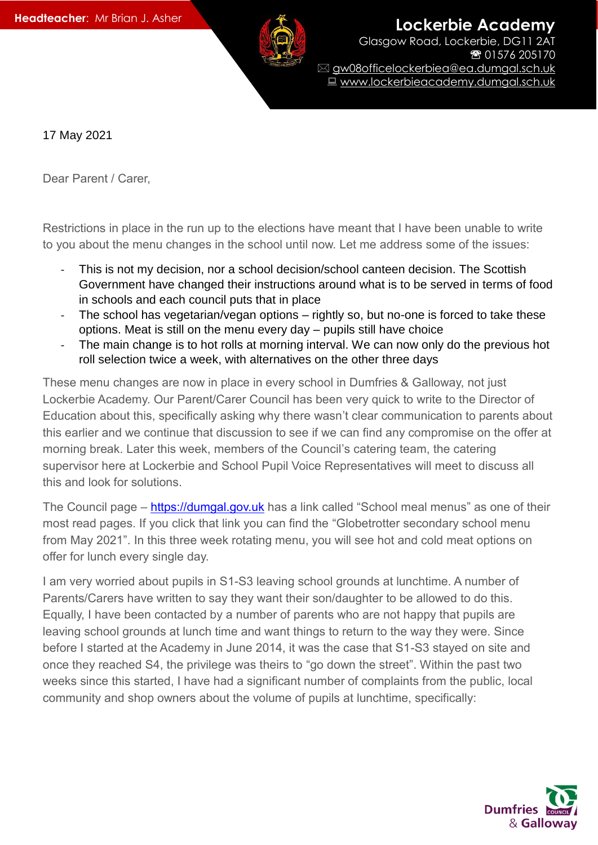

**Lockerbie Academy** Glasgow Road, Lockerbie, DG11 2AT ☎ 01576 205170

 gw08officelockerbiea@ea.dumgal.sch.uk ■ www.lockerbieacademy.dumgal.sch.uk

17 May 2021

Dear Parent / Carer,

Restrictions in place in the run up to the elections have meant that I have been unable to write to you about the menu changes in the school until now. Let me address some of the issues:

- This is not my decision, nor a school decision/school canteen decision. The Scottish Government have changed their instructions around what is to be served in terms of food in schools and each council puts that in place
- The school has vegetarian/vegan options rightly so, but no-one is forced to take these options. Meat is still on the menu every day – pupils still have choice
- The main change is to hot rolls at morning interval. We can now only do the previous hot roll selection twice a week, with alternatives on the other three days

These menu changes are now in place in every school in Dumfries & Galloway, not just Lockerbie Academy. Our Parent/Carer Council has been very quick to write to the Director of Education about this, specifically asking why there wasn't clear communication to parents about this earlier and we continue that discussion to see if we can find any compromise on the offer at morning break. Later this week, members of the Council's catering team, the catering supervisor here at Lockerbie and School Pupil Voice Representatives will meet to discuss all this and look for solutions.

The Council page – [https://dumgal.gov.uk](https://dumgal.gov.uk/) has a link called "School meal menus" as one of their most read pages. If you click that link you can find the "Globetrotter secondary school menu from May 2021". In this three week rotating menu, you will see hot and cold meat options on offer for lunch every single day.

I am very worried about pupils in S1-S3 leaving school grounds at lunchtime. A number of Parents/Carers have written to say they want their son/daughter to be allowed to do this. Equally, I have been contacted by a number of parents who are not happy that pupils are leaving school grounds at lunch time and want things to return to the way they were. Since before I started at the Academy in June 2014, it was the case that S1-S3 stayed on site and once they reached S4, the privilege was theirs to "go down the street". Within the past two weeks since this started, I have had a significant number of complaints from the public, local community and shop owners about the volume of pupils at lunchtime, specifically: